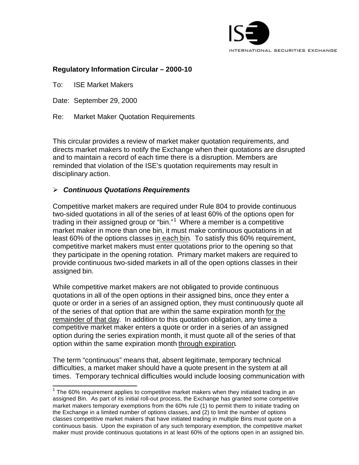

## **Regulatory Information Circular – 2000-10**

To: ISE Market Makers

Date: September 29, 2000

l

Re: Market Maker Quotation Requirements

This circular provides a review of market maker quotation requirements, and directs market makers to notify the Exchange when their quotations are disrupted and to maintain a record of each time there is a disruption. Members are reminded that violation of the ISE's quotation requirements may result in disciplinary action.

## ÿ *Continuous Quotations Requirements*

Competitive market makers are required under Rule 804 to provide continuous two-sided quotations in all of the series of at least 60% of the options open for trading in their assigned group or "bin."<sup>1</sup> Where a member is a competitive market maker in more than one bin, it must make continuous quotations in at least 60% of the options classes in each bin. To satisfy this 60% requirement, competitive market makers must enter quotations prior to the opening so that they participate in the opening rotation. Primary market makers are required to provide continuous two-sided markets in all of the open options classes in their assigned bin.

While competitive market makers are not obligated to provide continuous quotations in all of the open options in their assigned bins, once they enter a quote or order in a series of an assigned option, they must continuously quote all of the series of that option that are within the same expiration month for the remainder of that day. In addition to this quotation obligation, any time a competitive market maker enters a quote or order in a series of an assigned option during the series expiration month, it must quote all of the series of that option within the same expiration month through expiration.

The term "continuous" means that, absent legitimate, temporary technical difficulties, a market maker should have a quote present in the system at all times. Temporary technical difficulties would include loosing communication with

 $1$  The 60% requirement applies to competitive market makers when they initiated trading in an assigned Bin. As part of its initial roll-out process, the Exchange has granted some competitive market makers temporary exemptions from the 60% rule (1) to permit them to initiate trading on the Exchange in a limited number of options classes, and (2) to limit the number of options classes competitive market makers that have initiated trading in multiple Bins must quote on a continuous basis. Upon the expiration of any such temporary exemption, the competitive market maker must provide continuous quotations in at least 60% of the options open in an assigned bin.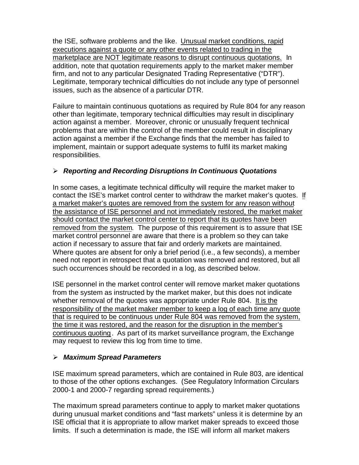the ISE, software problems and the like. Unusual market conditions, rapid executions against a quote or any other events related to trading in the marketplace are NOT legitimate reasons to disrupt continuous quotations. In addition, note that quotation requirements apply to the market maker member firm, and not to any particular Designated Trading Representative ("DTR"). Legitimate, temporary technical difficulties do not include any type of personnel issues, such as the absence of a particular DTR.

Failure to maintain continuous quotations as required by Rule 804 for any reason other than legitimate, temporary technical difficulties may result in disciplinary action against a member. Moreover, chronic or unusually frequent technical problems that are within the control of the member could result in disciplinary action against a member if the Exchange finds that the member has failed to implement, maintain or support adequate systems to fulfil its market making responsibilities.

## ÿ *Reporting and Recording Disruptions In Continuous Quotations*

In some cases, a legitimate technical difficulty will require the market maker to contact the ISE's market control center to withdraw the market maker's quotes. If a market maker's quotes are removed from the system for any reason without the assistance of ISE personnel and not immediately restored, the market maker should contact the market control center to report that its quotes have been removed from the system. The purpose of this requirement is to assure that ISE market control personnel are aware that there is a problem so they can take action if necessary to assure that fair and orderly markets are maintained. Where quotes are absent for only a brief period (i.e., a few seconds), a member need not report in retrospect that a quotation was removed and restored, but all such occurrences should be recorded in a log, as described below.

ISE personnel in the market control center will remove market maker quotations from the system as instructed by the market maker, but this does not indicate whether removal of the quotes was appropriate under Rule 804. It is the responsibility of the market maker member to keep a log of each time any quote that is required to be continuous under Rule 804 was removed from the system, the time it was restored, and the reason for the disruption in the member's continuous quoting. As part of its market surveillance program, the Exchange may request to review this log from time to time.

## ÿ *Maximum Spread Parameters*

ISE maximum spread parameters, which are contained in Rule 803, are identical to those of the other options exchanges. (See Regulatory Information Circulars 2000-1 and 2000-7 regarding spread requirements.)

The maximum spread parameters continue to apply to market maker quotations during unusual market conditions and "fast markets" unless it is determine by an ISE official that it is appropriate to allow market maker spreads to exceed those limits. If such a determination is made, the ISE will inform all market makers